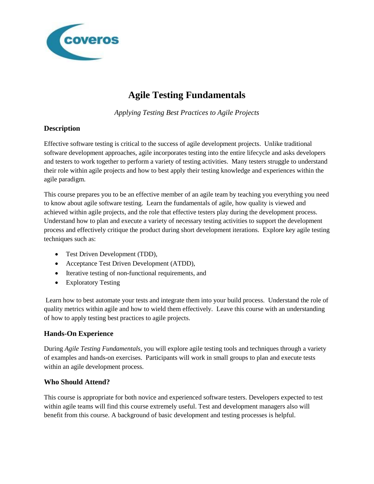

# **Agile Testing Fundamentals**

*Applying Testing Best Practices to Agile Projects*

## **Description**

Effective software testing is critical to the success of agile development projects. Unlike traditional software development approaches, agile incorporates testing into the entire lifecycle and asks developers and testers to work together to perform a variety of testing activities. Many testers struggle to understand their role within agile projects and how to best apply their testing knowledge and experiences within the agile paradigm.

This course prepares you to be an effective member of an agile team by teaching you everything you need to know about agile software testing. Learn the fundamentals of agile, how quality is viewed and achieved within agile projects, and the role that effective testers play during the development process. Understand how to plan and execute a variety of necessary testing activities to support the development process and effectively critique the product during short development iterations. Explore key agile testing techniques such as:

- Test Driven Development (TDD),
- Acceptance Test Driven Development (ATDD),
- Iterative testing of non-functional requirements, and
- Exploratory Testing

Learn how to best automate your tests and integrate them into your build process. Understand the role of quality metrics within agile and how to wield them effectively. Leave this course with an understanding of how to apply testing best practices to agile projects.

## **Hands-On Experience**

During *Agile Testing Fundamentals*, you will explore agile testing tools and techniques through a variety of examples and hands-on exercises. Participants will work in small groups to plan and execute tests within an agile development process.

## **Who Should Attend?**

This course is appropriate for both novice and experienced software testers. Developers expected to test within agile teams will find this course extremely useful. Test and development managers also will benefit from this course. A background of basic development and testing processes is helpful.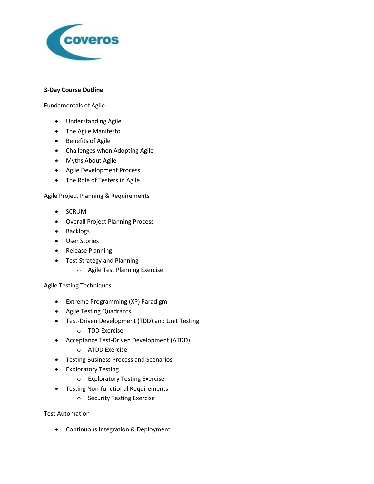

#### **3-Day Course Outline**

Fundamentals of Agile

- Understanding Agile
- The Agile Manifesto
- **•** Benefits of Agile
- Challenges when Adopting Agile
- Myths About Agile
- Agile Development Process
- The Role of Testers in Agile

#### Agile Project Planning & Requirements

- SCRUM
- Overall Project Planning Process
- Backlogs
- User Stories
- Release Planning
- Test Strategy and Planning
	- o Agile Test Planning Exercise

#### Agile Testing Techniques

- Extreme Programming (XP) Paradigm
- Agile Testing Quadrants
- Test-Driven Development (TDD) and Unit Testing
	- o TDD Exercise
- Acceptance Test-Driven Development (ATDD)
	- o ATDD Exercise
- Testing Business Process and Scenarios
- **•** Exploratory Testing
	- o Exploratory Testing Exercise
- Testing Non-functional Requirements
	- o Security Testing Exercise

#### Test Automation

Continuous Integration & Deployment